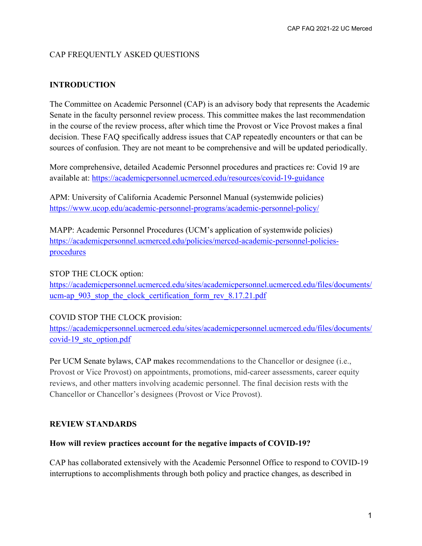# CAP FREQUENTLY ASKED QUESTIONS

## **INTRODUCTION**

The Committee on Academic Personnel (CAP) is an advisory body that represents the Academic Senate in the faculty personnel review process. This committee makes the last recommendation in the course of the review process, after which time the Provost or Vice Provost makes a final decision. These FAQ specifically address issues that CAP repeatedly encounters or that can be sources of confusion. They are not meant to be comprehensive and will be updated periodically.

More comprehensive, detailed Academic Personnel procedures and practices re: Covid 19 are available at:<https://academicpersonnel.ucmerced.edu/resources/covid-19-guidance>

APM: University of California Academic Personnel Manual (systemwide policies) <https://www.ucop.edu/academic-personnel-programs/academic-personnel-policy/>

MAPP: Academic Personnel Procedures (UCM's application of systemwide policies) [https://academicpersonnel.ucmerced.edu/policies/merced-academic-personnel-policies](https://academicpersonnel.ucmerced.edu/policies/merced-academic-personnel-policies-procedures)[procedures](https://academicpersonnel.ucmerced.edu/policies/merced-academic-personnel-policies-procedures)

### STOP THE CLOCK option:

[https://academicpersonnel.ucmerced.edu/sites/academicpersonnel.ucmerced.edu/files/documents/](https://academicpersonnel.ucmerced.edu/sites/academicpersonnel.ucmerced.edu/files/documents/ucm-ap_903_stop_the_clock_certification_form_rev_8.17.21.pdf) [ucm-ap\\_903\\_stop\\_the\\_clock\\_certification\\_form\\_rev\\_8.17.21.pdf](https://academicpersonnel.ucmerced.edu/sites/academicpersonnel.ucmerced.edu/files/documents/ucm-ap_903_stop_the_clock_certification_form_rev_8.17.21.pdf)

## COVID STOP THE CLOCK provision:

[https://academicpersonnel.ucmerced.edu/sites/academicpersonnel.ucmerced.edu/files/documents/](https://academicpersonnel.ucmerced.edu/sites/academicpersonnel.ucmerced.edu/files/documents/covid-19_stc_option.pdf) [covid-19\\_stc\\_option.pdf](https://academicpersonnel.ucmerced.edu/sites/academicpersonnel.ucmerced.edu/files/documents/covid-19_stc_option.pdf)

Per UCM Senate bylaws, CAP makes recommendations to the Chancellor or designee (i.e., Provost or Vice Provost) on appointments, promotions, mid-career assessments, career equity reviews, and other matters involving academic personnel. The final decision rests with the Chancellor or Chancellor's designees (Provost or Vice Provost).

### **REVIEW STANDARDS**

### **How will review practices account for the negative impacts of COVID-19?**

CAP has collaborated extensively with the Academic Personnel Office to respond to COVID-19 interruptions to accomplishments through both policy and practice changes, as described in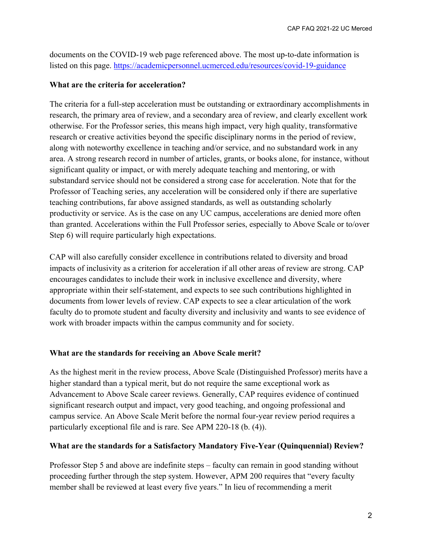documents on the COVID-19 web page referenced above. The most up-to-date information is listed on this page.<https://academicpersonnel.ucmerced.edu/resources/covid-19-guidance>

### **What are the criteria for acceleration?**

The criteria for a full-step acceleration must be outstanding or extraordinary accomplishments in research, the primary area of review, and a secondary area of review, and clearly excellent work otherwise. For the Professor series, this means high impact, very high quality, transformative research or creative activities beyond the specific disciplinary norms in the period of review, along with noteworthy excellence in teaching and/or service, and no substandard work in any area. A strong research record in number of articles, grants, or books alone, for instance, without significant quality or impact, or with merely adequate teaching and mentoring, or with substandard service should not be considered a strong case for acceleration. Note that for the Professor of Teaching series, any acceleration will be considered only if there are superlative teaching contributions, far above assigned standards, as well as outstanding scholarly productivity or service. As is the case on any UC campus, accelerations are denied more often than granted. Accelerations within the Full Professor series, especially to Above Scale or to/over Step 6) will require particularly high expectations.

CAP will also carefully consider excellence in contributions related to diversity and broad impacts of inclusivity as a criterion for acceleration if all other areas of review are strong. CAP encourages candidates to include their work in inclusive excellence and diversity, where appropriate within their self-statement, and expects to see such contributions highlighted in documents from lower levels of review. CAP expects to see a clear articulation of the work faculty do to promote student and faculty diversity and inclusivity and wants to see evidence of work with broader impacts within the campus community and for society.

## **What are the standards for receiving an Above Scale merit?**

As the highest merit in the review process, Above Scale (Distinguished Professor) merits have a higher standard than a typical merit, but do not require the same exceptional work as Advancement to Above Scale career reviews. Generally, CAP requires evidence of continued significant research output and impact, very good teaching, and ongoing professional and campus service. An Above Scale Merit before the normal four-year review period requires a particularly exceptional file and is rare. See APM 220-18 (b. (4)).

## **What are the standards for a Satisfactory Mandatory Five-Year (Quinquennial) Review?**

Professor Step 5 and above are indefinite steps – faculty can remain in good standing without proceeding further through the step system. However, APM 200 requires that "every faculty member shall be reviewed at least every five years." In lieu of recommending a merit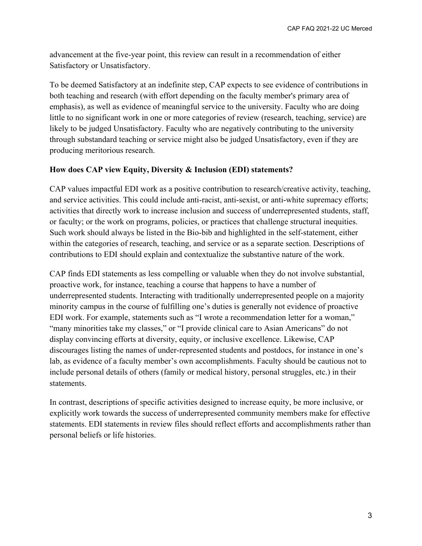advancement at the five-year point, this review can result in a recommendation of either Satisfactory or Unsatisfactory.

To be deemed Satisfactory at an indefinite step, CAP expects to see evidence of contributions in both teaching and research (with effort depending on the faculty member's primary area of emphasis), as well as evidence of meaningful service to the university. Faculty who are doing little to no significant work in one or more categories of review (research, teaching, service) are likely to be judged Unsatisfactory. Faculty who are negatively contributing to the university through substandard teaching or service might also be judged Unsatisfactory, even if they are producing meritorious research.

## **How does CAP view Equity, Diversity & Inclusion (EDI) statements?**

CAP values impactful EDI work as a positive contribution to research/creative activity, teaching, and service activities. This could include anti-racist, anti-sexist, or anti-white supremacy efforts; activities that directly work to increase inclusion and success of underrepresented students, staff, or faculty; or the work on programs, policies, or practices that challenge structural inequities. Such work should always be listed in the Bio-bib and highlighted in the self-statement, either within the categories of research, teaching, and service or as a separate section. Descriptions of contributions to EDI should explain and contextualize the substantive nature of the work.

CAP finds EDI statements as less compelling or valuable when they do not involve substantial, proactive work, for instance, teaching a course that happens to have a number of underrepresented students. Interacting with traditionally underrepresented people on a majority minority campus in the course of fulfilling one's duties is generally not evidence of proactive EDI work. For example, statements such as "I wrote a recommendation letter for a woman," "many minorities take my classes," or "I provide clinical care to Asian Americans" do not display convincing efforts at diversity, equity, or inclusive excellence. Likewise, CAP discourages listing the names of under-represented students and postdocs, for instance in one's lab, as evidence of a faculty member's own accomplishments. Faculty should be cautious not to include personal details of others (family or medical history, personal struggles, etc.) in their statements.

In contrast, descriptions of specific activities designed to increase equity, be more inclusive, or explicitly work towards the success of underrepresented community members make for effective statements. EDI statements in review files should reflect efforts and accomplishments rather than personal beliefs or life histories.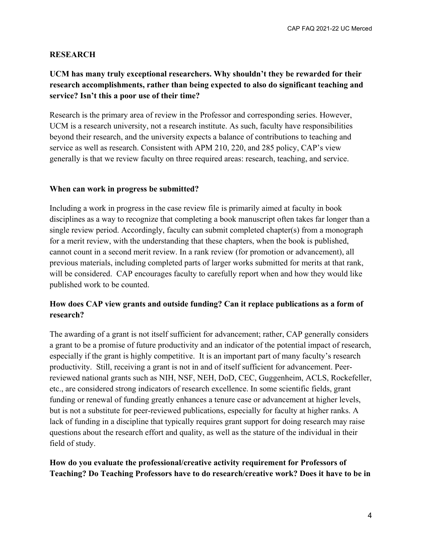### **RESEARCH**

# **UCM has many truly exceptional researchers. Why shouldn't they be rewarded for their research accomplishments, rather than being expected to also do significant teaching and service? Isn't this a poor use of their time?**

Research is the primary area of review in the Professor and corresponding series. However, UCM is a research university, not a research institute. As such, faculty have responsibilities beyond their research, and the university expects a balance of contributions to teaching and service as well as research. Consistent with APM 210, 220, and 285 policy, CAP's view generally is that we review faculty on three required areas: research, teaching, and service.

### **When can work in progress be submitted?**

Including a work in progress in the case review file is primarily aimed at faculty in book disciplines as a way to recognize that completing a book manuscript often takes far longer than a single review period. Accordingly, faculty can submit completed chapter(s) from a monograph for a merit review, with the understanding that these chapters, when the book is published, cannot count in a second merit review. In a rank review (for promotion or advancement), all previous materials, including completed parts of larger works submitted for merits at that rank, will be considered. CAP encourages faculty to carefully report when and how they would like published work to be counted.

## **How does CAP view grants and outside funding? Can it replace publications as a form of research?**

The awarding of a grant is not itself sufficient for advancement; rather, CAP generally considers a grant to be a promise of future productivity and an indicator of the potential impact of research, especially if the grant is highly competitive. It is an important part of many faculty's research productivity. Still, receiving a grant is not in and of itself sufficient for advancement. Peerreviewed national grants such as NIH, NSF, NEH, DoD, CEC, Guggenheim, ACLS, Rockefeller, etc., are considered strong indicators of research excellence. In some scientific fields, grant funding or renewal of funding greatly enhances a tenure case or advancement at higher levels, but is not a substitute for peer-reviewed publications, especially for faculty at higher ranks. A lack of funding in a discipline that typically requires grant support for doing research may raise questions about the research effort and quality, as well as the stature of the individual in their field of study.

## **How do you evaluate the professional/creative activity requirement for Professors of Teaching? Do Teaching Professors have to do research/creative work? Does it have to be in**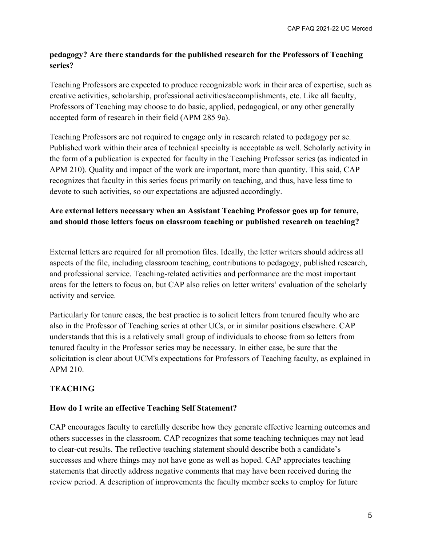# **pedagogy? Are there standards for the published research for the Professors of Teaching series?**

Teaching Professors are expected to produce recognizable work in their area of expertise, such as creative activities, scholarship, professional activities/accomplishments, etc. Like all faculty, Professors of Teaching may choose to do basic, applied, pedagogical, or any other generally accepted form of research in their field (APM 285 9a).

Teaching Professors are not required to engage only in research related to pedagogy per se. Published work within their area of technical specialty is acceptable as well. Scholarly activity in the form of a publication is expected for faculty in the Teaching Professor series (as indicated in APM 210). Quality and impact of the work are important, more than quantity. This said, CAP recognizes that faculty in this series focus primarily on teaching, and thus, have less time to devote to such activities, so our expectations are adjusted accordingly.

# **Are external letters necessary when an Assistant Teaching Professor goes up for tenure, and should those letters focus on classroom teaching or published research on teaching?**

External letters are required for all promotion files. Ideally, the letter writers should address all aspects of the file, including classroom teaching, contributions to pedagogy, published research, and professional service. Teaching-related activities and performance are the most important areas for the letters to focus on, but CAP also relies on letter writers' evaluation of the scholarly activity and service.

Particularly for tenure cases, the best practice is to solicit letters from tenured faculty who are also in the Professor of Teaching series at other UCs, or in similar positions elsewhere. CAP understands that this is a relatively small group of individuals to choose from so letters from tenured faculty in the Professor series may be necessary. In either case, be sure that the solicitation is clear about UCM's expectations for Professors of Teaching faculty, as explained in APM 210.

# **TEACHING**

# **How do I write an effective Teaching Self Statement?**

CAP encourages faculty to carefully describe how they generate effective learning outcomes and others successes in the classroom. CAP recognizes that some teaching techniques may not lead to clear-cut results. The reflective teaching statement should describe both a candidate's successes and where things may not have gone as well as hoped. CAP appreciates teaching statements that directly address negative comments that may have been received during the review period. A description of improvements the faculty member seeks to employ for future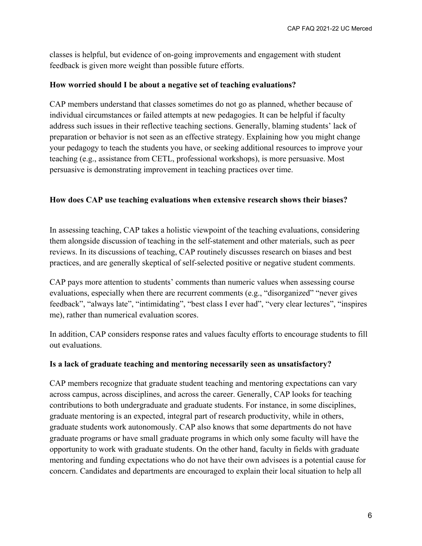classes is helpful, but evidence of on-going improvements and engagement with student feedback is given more weight than possible future efforts.

### **How worried should I be about a negative set of teaching evaluations?**

CAP members understand that classes sometimes do not go as planned, whether because of individual circumstances or failed attempts at new pedagogies. It can be helpful if faculty address such issues in their reflective teaching sections. Generally, blaming students' lack of preparation or behavior is not seen as an effective strategy. Explaining how you might change your pedagogy to teach the students you have, or seeking additional resources to improve your teaching (e.g., assistance from CETL, professional workshops), is more persuasive. Most persuasive is demonstrating improvement in teaching practices over time.

## **How does CAP use teaching evaluations when extensive research shows their biases?**

In assessing teaching, CAP takes a holistic viewpoint of the teaching evaluations, considering them alongside discussion of teaching in the self-statement and other materials, such as peer reviews. In its discussions of teaching, CAP routinely discusses research on biases and best practices, and are generally skeptical of self-selected positive or negative student comments.

CAP pays more attention to students' comments than numeric values when assessing course evaluations, especially when there are recurrent comments (e.g., "disorganized" "never gives feedback", "always late", "intimidating", "best class I ever had", "very clear lectures", "inspires me), rather than numerical evaluation scores.

In addition, CAP considers response rates and values faculty efforts to encourage students to fill out evaluations.

### **Is a lack of graduate teaching and mentoring necessarily seen as unsatisfactory?**

CAP members recognize that graduate student teaching and mentoring expectations can vary across campus, across disciplines, and across the career. Generally, CAP looks for teaching contributions to both undergraduate and graduate students. For instance, in some disciplines, graduate mentoring is an expected, integral part of research productivity, while in others, graduate students work autonomously. CAP also knows that some departments do not have graduate programs or have small graduate programs in which only some faculty will have the opportunity to work with graduate students. On the other hand, faculty in fields with graduate mentoring and funding expectations who do not have their own advisees is a potential cause for concern. Candidates and departments are encouraged to explain their local situation to help all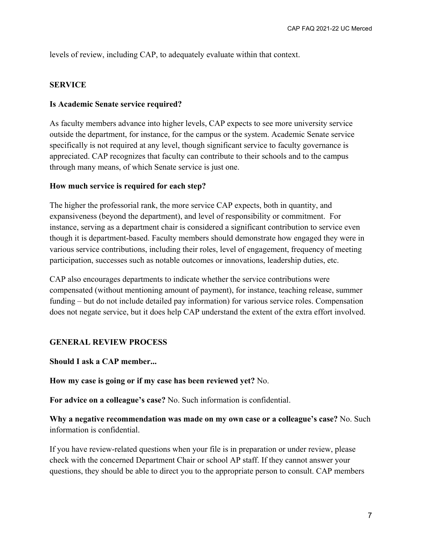levels of review, including CAP, to adequately evaluate within that context.

#### **SERVICE**

#### **Is Academic Senate service required?**

As faculty members advance into higher levels, CAP expects to see more university service outside the department, for instance, for the campus or the system. Academic Senate service specifically is not required at any level, though significant service to faculty governance is appreciated. CAP recognizes that faculty can contribute to their schools and to the campus through many means, of which Senate service is just one.

#### **How much service is required for each step?**

The higher the professorial rank, the more service CAP expects, both in quantity, and expansiveness (beyond the department), and level of responsibility or commitment. For instance, serving as a department chair is considered a significant contribution to service even though it is department-based. Faculty members should demonstrate how engaged they were in various service contributions, including their roles, level of engagement, frequency of meeting participation, successes such as notable outcomes or innovations, leadership duties, etc.

CAP also encourages departments to indicate whether the service contributions were compensated (without mentioning amount of payment), for instance, teaching release, summer funding – but do not include detailed pay information) for various service roles. Compensation does not negate service, but it does help CAP understand the extent of the extra effort involved.

### **GENERAL REVIEW PROCESS**

**Should I ask a CAP member...**

**How my case is going or if my case has been reviewed yet?** No.

**For advice on a colleague's case?** No. Such information is confidential.

**Why a negative recommendation was made on my own case or a colleague's case?** No. Such information is confidential.

If you have review-related questions when your file is in preparation or under review, please check with the concerned Department Chair or school AP staff. If they cannot answer your questions, they should be able to direct you to the appropriate person to consult. CAP members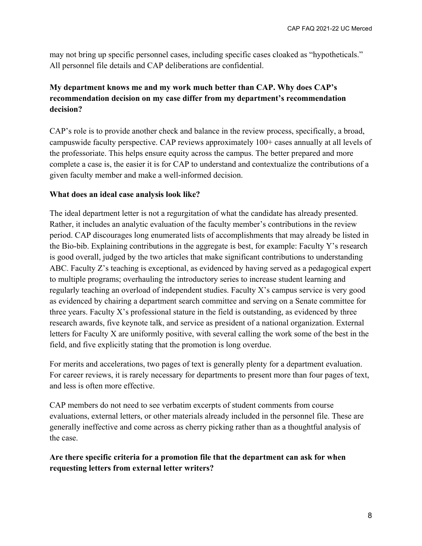may not bring up specific personnel cases, including specific cases cloaked as "hypotheticals." All personnel file details and CAP deliberations are confidential.

# **My department knows me and my work much better than CAP. Why does CAP's recommendation decision on my case differ from my department's recommendation decision?**

CAP's role is to provide another check and balance in the review process, specifically, a broad, campuswide faculty perspective. CAP reviews approximately 100+ cases annually at all levels of the professoriate. This helps ensure equity across the campus. The better prepared and more complete a case is, the easier it is for CAP to understand and contextualize the contributions of a given faculty member and make a well-informed decision.

## **What does an ideal case analysis look like?**

The ideal department letter is not a regurgitation of what the candidate has already presented. Rather, it includes an analytic evaluation of the faculty member's contributions in the review period. CAP discourages long enumerated lists of accomplishments that may already be listed in the Bio-bib. Explaining contributions in the aggregate is best, for example: Faculty Y's research is good overall, judged by the two articles that make significant contributions to understanding ABC. Faculty Z's teaching is exceptional, as evidenced by having served as a pedagogical expert to multiple programs; overhauling the introductory series to increase student learning and regularly teaching an overload of independent studies. Faculty X's campus service is very good as evidenced by chairing a department search committee and serving on a Senate committee for three years. Faculty X's professional stature in the field is outstanding, as evidenced by three research awards, five keynote talk, and service as president of a national organization. External letters for Faculty X are uniformly positive, with several calling the work some of the best in the field, and five explicitly stating that the promotion is long overdue.

For merits and accelerations, two pages of text is generally plenty for a department evaluation. For career reviews, it is rarely necessary for departments to present more than four pages of text, and less is often more effective.

CAP members do not need to see verbatim excerpts of student comments from course evaluations, external letters, or other materials already included in the personnel file. These are generally ineffective and come across as cherry picking rather than as a thoughtful analysis of the case.

**Are there specific criteria for a promotion file that the department can ask for when requesting letters from external letter writers?**